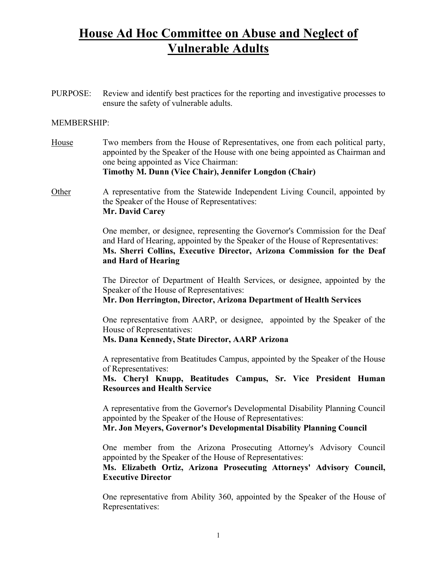# **House Ad Hoc Committee on Abuse and Neglect of Vulnerable Adults**

PURPOSE: Review and identify best practices for the reporting and investigative processes to ensure the safety of vulnerable adults.

### MEMBERSHIP:

House Two members from the House of Representatives, one from each political party, appointed by the Speaker of the House with one being appointed as Chairman and one being appointed as Vice Chairman:

#### **Timothy M. Dunn (Vice Chair), Jennifer Longdon (Chair)**

Other A representative from the Statewide Independent Living Council, appointed by the Speaker of the House of Representatives: **Mr. David Carey**

> One member, or designee, representing the Governor's Commission for the Deaf and Hard of Hearing, appointed by the Speaker of the House of Representatives: **Ms. Sherri Collins, Executive Director, Arizona Commission for the Deaf and Hard of Hearing**

> The Director of Department of Health Services, or designee, appointed by the Speaker of the House of Representatives:

**Mr. Don Herrington, Director, Arizona Department of Health Services**

 One representative from AARP, or designee, appointed by the Speaker of the House of Representatives:

### **Ms. Dana Kennedy, State Director, AARP Arizona**

 A representative from Beatitudes Campus, appointed by the Speaker of the House of Representatives:

**Ms. Cheryl Knupp, Beatitudes Campus, Sr. Vice President Human Resources and Health Service**

 A representative from the Governor's Developmental Disability Planning Council appointed by the Speaker of the House of Representatives:

**Mr. Jon Meyers, Governor's Developmental Disability Planning Council**

 One member from the Arizona Prosecuting Attorney's Advisory Council appointed by the Speaker of the House of Representatives:

**Ms. Elizabeth Ortiz, Arizona Prosecuting Attorneys' Advisory Council, Executive Director**

 One representative from Ability 360, appointed by the Speaker of the House of Representatives: